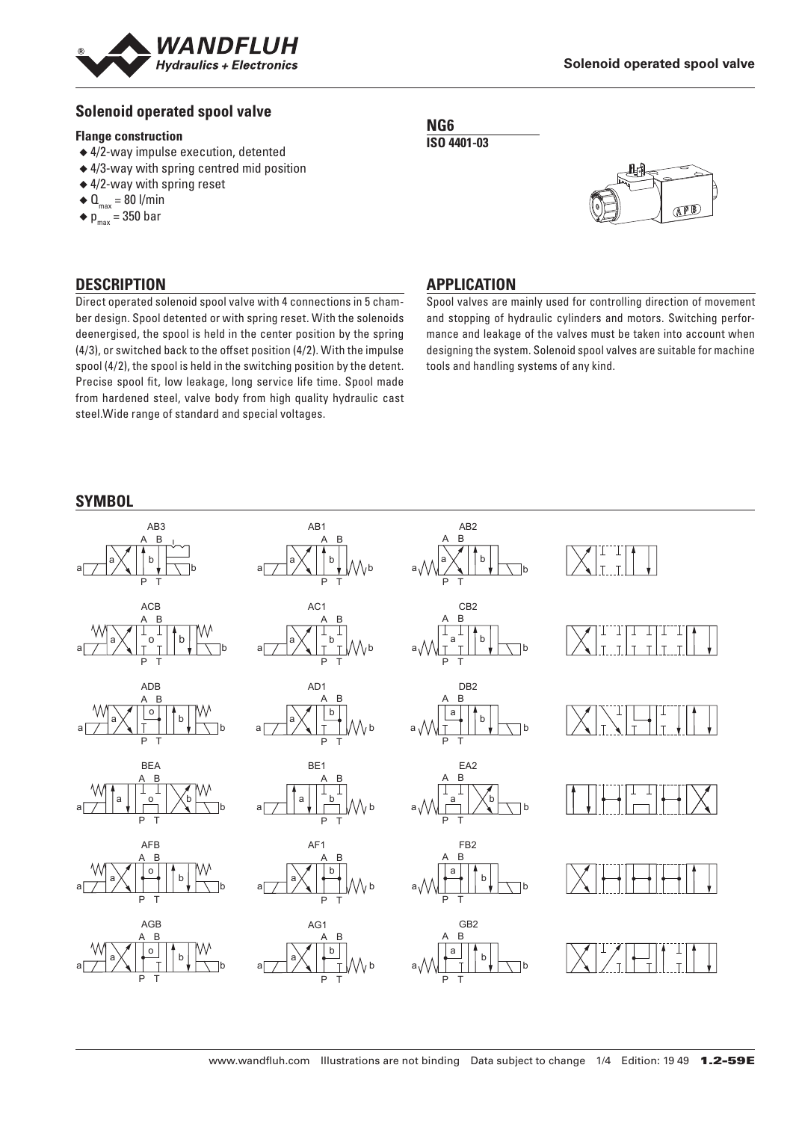

## **Solenoid operated spool valve**

#### **Flange construction**

- ◆ 4/2-way impulse execution, detented
- ◆ 4/3-way with spring centred mid position
- ◆ 4/2-way with spring reset
- $\triangleleft$  Q<sub>max</sub> = 80 l/min
- $\bullet$  p<sub>max</sub> = 350 bar

## **DESCRIPTION**

Direct operated solenoid spool valve with 4 connections in 5 chamber design. Spool detented or with spring reset. With the solenoids deenergised, the spool is held in the center position by the spring (4/3), or switched back to the offset position (4/2). With the impulse spool (4/2), the spool is held in the switching position by the detent. Precise spool fit, low leakage, long service life time. Spool made from hardened steel, valve body from high quality hydraulic cast steel.Wide range of standard and special voltages.

#### **NG6 ISO 4401-03**



## **APPLICATION**

Spool valves are mainly used for controlling direction of movement and stopping of hydraulic cylinders and motors. Switching performance and leakage of the valves must be taken into account when designing the system. Solenoid spool valves are suitable for machine tools and handling systems of any kind.

#### **SYMBOL**

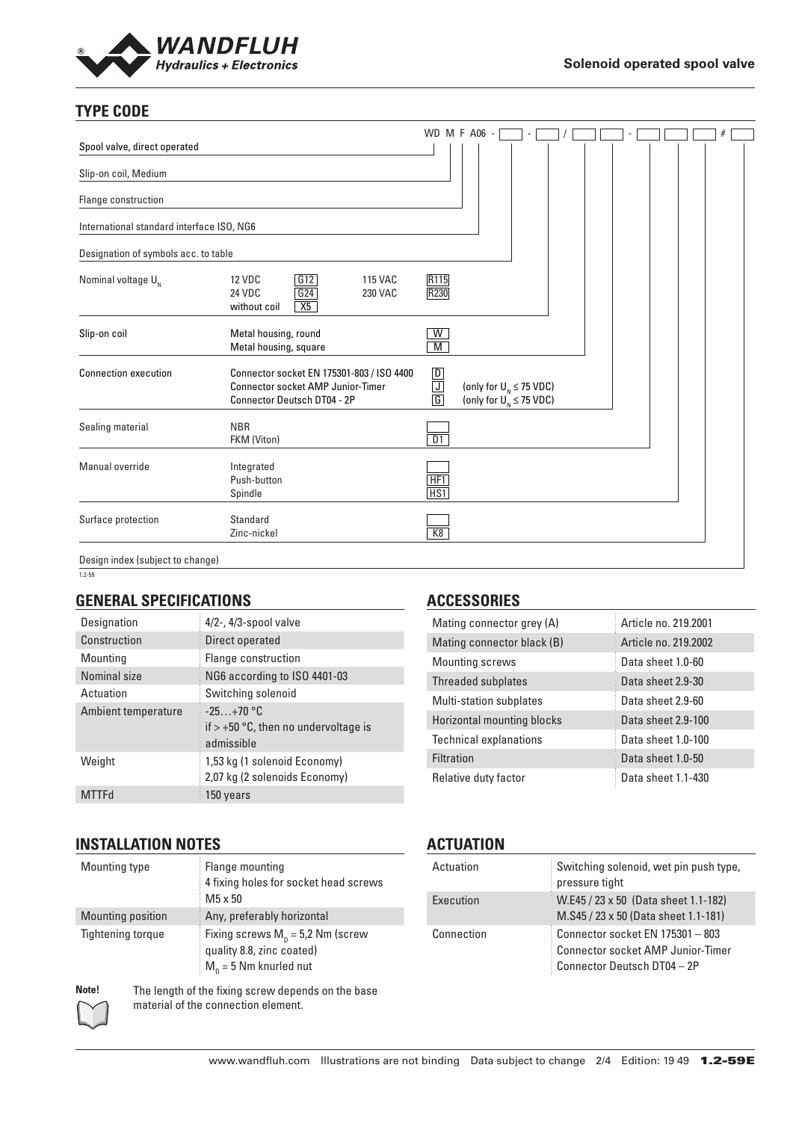

# **TYPE CODE**

| Spool valve, direct operated              |                                                                                                                      |                          | WD M F A06 -                                                  |  |  |  |  |
|-------------------------------------------|----------------------------------------------------------------------------------------------------------------------|--------------------------|---------------------------------------------------------------|--|--|--|--|
| Slip-on coil, Medium                      |                                                                                                                      |                          |                                                               |  |  |  |  |
| Flange construction                       |                                                                                                                      |                          |                                                               |  |  |  |  |
| International standard interface ISO, NG6 |                                                                                                                      |                          |                                                               |  |  |  |  |
| Designation of symbols acc. to table      |                                                                                                                      |                          |                                                               |  |  |  |  |
| Nominal voltage $U_{N}$                   | G12<br><b>12 VDC</b><br><b>115 VAC</b><br>G24<br>24 VDC<br><b>230 VAC</b><br>X5<br>without coil                      | R <sub>115</sub><br>R230 |                                                               |  |  |  |  |
| Slip-on coil                              | Metal housing, round<br>Metal housing, square                                                                        | W<br>M                   |                                                               |  |  |  |  |
| <b>Connection execution</b>               | Connector socket EN 175301-803 / ISO 4400<br><b>Connector socket AMP Junior-Timer</b><br>Connector Deutsch DT04 - 2P | $\frac{\Box}{\Box}$      | (only for $U_{N} \leq 75$ VDC)<br>(only for $U_N \le 75$ VDC) |  |  |  |  |
| Sealing material                          | <b>NBR</b><br>FKM (Viton)                                                                                            | D1                       |                                                               |  |  |  |  |
| Manual override                           | Integrated<br>Push-button<br>Spindle                                                                                 | HF1<br>HS1               |                                                               |  |  |  |  |
| Surface protection                        | Standard<br>Zinc-nickel                                                                                              | K8                       |                                                               |  |  |  |  |
| Design index (subject to change)          |                                                                                                                      |                          |                                                               |  |  |  |  |

Design index (subject to change)  $1.2 - 59$ 

#### **GENERAL SPECIFICATIONS**

| Designation         | $4/2$ -, $4/3$ -spool valve                                         |
|---------------------|---------------------------------------------------------------------|
| Construction        | Direct operated                                                     |
| Mounting            | Flange construction                                                 |
| Nominal size        | NG6 according to ISO 4401-03                                        |
| Actuation           | Switching solenoid                                                  |
| Ambient temperature | $-25+70$ °C<br>if $> +50$ °C, then no undervoltage is<br>admissible |
| Weight              | 1,53 kg (1 solenoid Economy)<br>2,07 kg (2 solenoids Economy)       |
| MTTFd               | 150 years                                                           |

# **INSTALLATION NOTES**

| Mounting type     | Flange mounting<br>4 fixing holes for socket head screws<br>$M5 \times 50$                   |
|-------------------|----------------------------------------------------------------------------------------------|
| Mounting position | Any, preferably horizontal                                                                   |
| Tightening torque | Fixing screws $M_p = 5.2$ Nm (screw<br>quality 8.8, zinc coated)<br>$M_n = 5$ Nm knurled nut |

**Note!** The length of the fixing screw depends on the base material of the connection element.

## **ACCESSORIES**

| Mating connector grey (A)      | Article no. 219.2001  |
|--------------------------------|-----------------------|
| Mating connector black (B)     | Article no. 219, 2002 |
| <b>Mounting screws</b>         | Data sheet 1.0-60     |
| Threaded subplates             | Data sheet 2.9-30     |
| <b>Multi-station subplates</b> | Data sheet 2.9-60     |
| Horizontal mounting blocks     | Data sheet 2.9-100    |
| <b>Technical explanations</b>  | Data sheet 1.0-100    |
| Filtration                     | Data sheet 1.0-50     |
| Relative duty factor           | Data sheet 1.1-430    |

## **ACTUATION**

| Actuation  | Switching solenoid, wet pin push type,<br>pressure tight                                                    |
|------------|-------------------------------------------------------------------------------------------------------------|
| Execution  | W.E45 / 23 x 50 (Data sheet 1.1-182)<br>M.S45 / 23 x 50 (Data sheet 1.1-181)                                |
| Connection | Connector socket EN 175301 - 803<br><b>Connector socket AMP Junior-Timer</b><br>Connector Deutsch DT04 - 2P |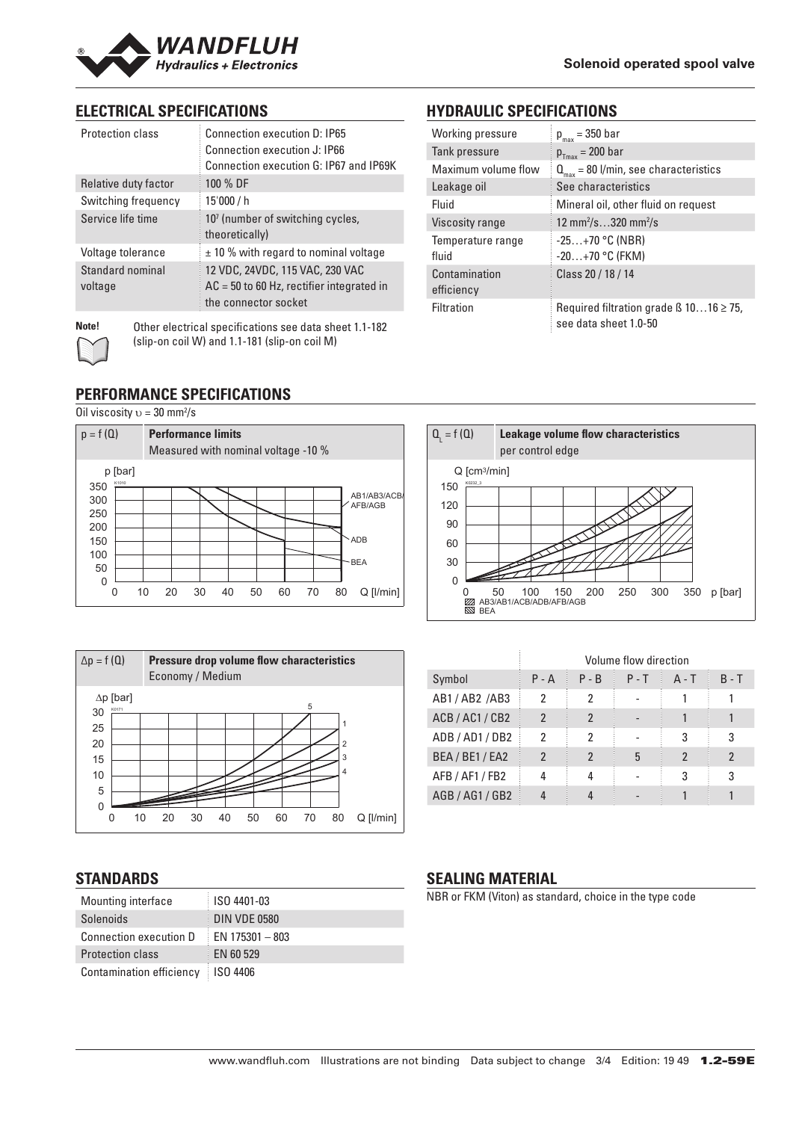

**HYDRAULIC SPECIFICATIONS** Working pressure  $p_{\text{max}} = 350$  bar Tank pressure  $p_{T_{\text{max}}} = 200 \text{ bar}$ 

Viscosity range

Contamination efficiency

fluid

Temperature range

Leakage oil See characteristics

Maximum volume flow  $\mathbf{Q}_{\text{max}} = 80$  l/min, see characteristics

Fluid Mineral oil, other fluid on request

 $\gamma$ s $\ldots$ 320 mm $^2$ /s

-25…+70 °C (NBR) -20…+70 °C (FKM)

Class 20 / 18 / 14

Filtration Required filtration grade ß 10…16 ≥ 75, see data sheet 1.0-50

# **ELECTRICAL SPECIFICATIONS**

| Protection class            | Connection execution D: IP65<br>Connection execution J: IP66<br>Connection execution G: IP67 and IP69K |
|-----------------------------|--------------------------------------------------------------------------------------------------------|
| Relative duty factor        | 100 % DF                                                                                               |
| Switching frequency         | 15'000 / h                                                                                             |
| Service life time           | 10 <sup>7</sup> (number of switching cycles,<br>theoretically)                                         |
| Voltage tolerance           | $\pm$ 10 % with regard to nominal voltage                                                              |
| Standard nominal<br>voltage | 12 VDC, 24VDC, 115 VAC, 230 VAC<br>$AC = 50$ to 60 Hz, rectifier integrated in<br>the connector socket |

**Note!** Other electrical specifications see data sheet 1.1-182 (slip-on coil W) and 1.1-181 (slip-on coil M)

### **PERFORMANCE SPECIFICATIONS**

Oil viscosity  $v = 30$  mm<sup>2</sup>/s





| $Q_{1} = f(Q)$             | Leakage volume flow characteristics<br>per control edge                            |
|----------------------------|------------------------------------------------------------------------------------|
| $Q$ [cm <sup>3</sup> /min] |                                                                                    |
| K0232 3<br>150             |                                                                                    |
| 120                        |                                                                                    |
| 90                         |                                                                                    |
| 60                         |                                                                                    |
| 30                         |                                                                                    |
| $\Omega$                   |                                                                                    |
| ▨<br><b>NN BEA</b>         | 200<br>250<br>300<br>350<br>p [bar]<br>100<br>150<br>50<br>AB3/AB1/ACB/ADB/AFB/AGB |

|                 | Volume flow direction |         |         |         |         |
|-----------------|-----------------------|---------|---------|---------|---------|
| Symbol          | $P - A$               | $P - B$ | $P - T$ | $A - T$ | $B - T$ |
| AB1/AB2/AB3     | 2                     | 2       |         |         |         |
| ACB / AC1 / CB2 | $\mathfrak{p}$        | 2       |         |         |         |
| ADB/AD1/DB2     | 2                     | 2       |         | 3       | 3       |
| BEA / BE1 / EA2 | 2                     |         | 5       |         | 2       |
| AFB / AF1 / FB2 |                       |         |         | 3       | 3       |
| AGB / AG1 / GB2 |                       |         |         |         |         |

# **STANDARDS**

| Mounting interface       | ISO 4401-03         |
|--------------------------|---------------------|
| Solenoids                | <b>DIN VDE 0580</b> |
| Connection execution D   | EN 175301 - 803     |
| <b>Protection class</b>  | EN 60 529           |
| Contamination efficiency | <b>ISO 4406</b>     |

# **SEALING MATERIAL**

NBR or FKM (Viton) as standard, choice in the type code